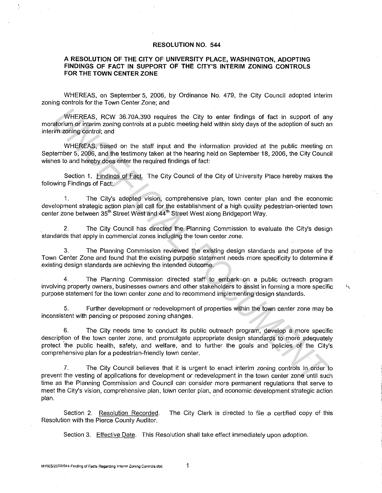## **RESOLUTION NO. 544**

## **A RESOLUTION OF THE CITY OF UNIVERSITY PLACE, WASHINGTON, ADOPTING FINDINGS OF FACT IN SUPPORT OF THE CITY'S INTERIM ZONING CONTROLS FOR THE TOWN CENTER ZONE**

WHEREAS, on September 5, 2006, by Ordinance No. 479, the City Council adopted interim zoning controls for the Town Center Zone; and

WHEREAS, RCW 36.70A.390 requires the City to enter findings of fact in support of any moratorium or interim zoning controls at a public meeting held within sixty days of the adoption of such an interim zoning control; and

WHEREAS, based on the staff input and the information provided at the public meeting on September 5, 2006, and the testimony taken at the hearing held on September 18, 2006, the City Council wishes to and hereby does enter the required findings of fact:

Section 1. Findings of Fact. The City Council of the City of University Place hereby makes the following Findings of Fact:

1. The City's adopted vision, comprehensive plan, town center plan and the economic development strategic action plan all call for the establishment of a high quality pedestrian-oriented town center zone between 35<sup>th</sup> Street West and 44<sup>th</sup> Street West along Bridgeport Way.

2. The City Council has directed the Planning Commission to evaluate the City's design standards that apply in commercial zones including the town center zone.

3. The Planning Commission reviewed the existing design standards and purpose of the Town Center Zone and found that the existing purpose statement needs more specificity to determine if existing design standards are achieving the intended outcome.

4. The Planning Commission directed staff to embark on a public outreach program involving property owners, businesses owners and other stakeholders to assist in forming a more specific  $\frac{1}{11}$ purpose statement for the town center zone and to recommend implementing design standards.

5. Further development or redevelopment of properties within the town center zone may be inconsistent with pending or proposed zoning changes.

6. The City needs time to conduct its public outreach program, develop a more specific description of the town center zone, and promulgate appropriate design standards to more adequately protect the public health, safety, and welfare, and to further the goals and policies of the City's comprehensive plan for a pedestrian-friendly town center. WHEREAS, RCW 36.70A.390 requires the City to enter findings of fact in support of an animal control on or interm coning controls at a public meeting held within sixty days of the adoption of such animal controls, and<br>in an

7. The City Council believes that it is urgent to enact interim zoning controls in order to prevent the vesting of applications for development or redevelopment in the town center zone until such time as the Planning Commission and Council can consider more permanent regulations that serve to meet the City's vision, comprehensive plan, town center plan, and economic development strategic action  $\mathsf{plan.}$ 

Section 2. Resolution Recorded. The City Clerk is directed to file a certified copy of this Resolution with the Pierce County Auditor.

Section 3. Effective Date. This Resolution shall take effect immediately upon adoption.

1